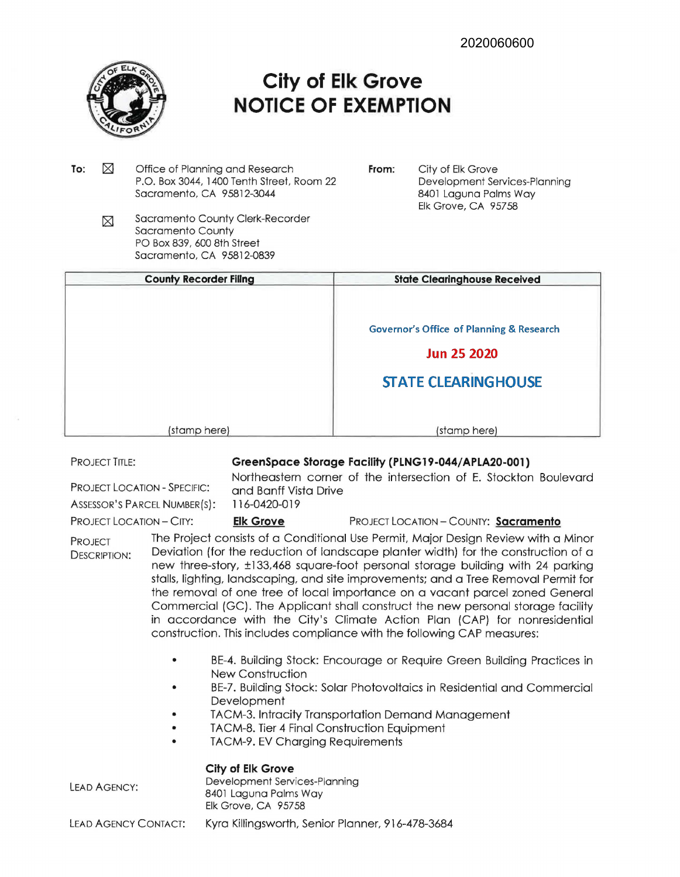

## **City of Elk Grove NOTICE OF EXEMPTION**

- To:  $\boxtimes$ Office of Planning and Research P.O. Box 3044, 1400 Tenth Street, Room 22 Sacramento, CA 9 5812-3044
	- Sacramento County Clerk-Recorder  $\boxtimes$ Sacramento County PO Box 839, 600 8th Street Sacramento, CA 95812-0839
- **From:** City of Elk Grove Development Services-Planning 8401 Laguna Palms Way Elk Grove, CA 95758

| <b>County Recorder Filing</b> | <b>State Clearinghouse Received</b>                 |
|-------------------------------|-----------------------------------------------------|
|                               | <b>Governor's Office of Planning &amp; Research</b> |
|                               | <b>Jun 25 2020</b>                                  |
|                               | <b>STATE CLEARINGHOUSE</b>                          |
|                               |                                                     |
| (stamp here)                  | (stamp here)                                        |

PROJECT TITLE:

## **GreenSpace Storage Faclllty (PLNG 19-044/ APLA20-001)**

PROJECT LOCATION - SPECIFIC: Northeastern corner of the intersection of E. Stockton Boulevard and Banff Vista Drive

ASSESSOR'S PARCEL NUMBER(S): 116-0420-019

PROJECT LOCATION - CITY: **Elk Grove** PROJECT LOCATION - COUNTY: **Sacramento** 

PROJECT DESCRIPTION: The Project consists of a Conditional Use Permit, Major Design Review with a Minor Deviation (for the reduction of landscape planter width) for the construction of a new three-story, ±133,468 square-foot personal storage building with 24 parking stalls, lighting, landscaping, and site improvements; and a Tree Removal Permit for the removal of one tree of local importance on a vacant parcel zoned General Commercial (GC). The Applicant shall construct the new personal storage facility in accordance with the City's Climate Action Plan (CAP) for nonresidential construction. This includes compliance with the following CAP measures:

- BE-4. Building Stock: Encourage or Require Green Building Practices in New Construction
- BE-7. Building Stock: Solar Photovoltaics in Residential and Commercial **Development**
- TACM-3. Intracity Transportation Demand Management
- TACM-8. Tier 4 Final Construction Equipment
- TACM-9. EV Charging Requirements

**City of Elk Grove** 

LEAD AGENCY:

Development Services-Planning

8401 Laguna Palms Way Elk Grove, CA 95758

LEAD AGENCY CONTACT: Kyra Killingsworth, Senior Planner, 916-478-3684